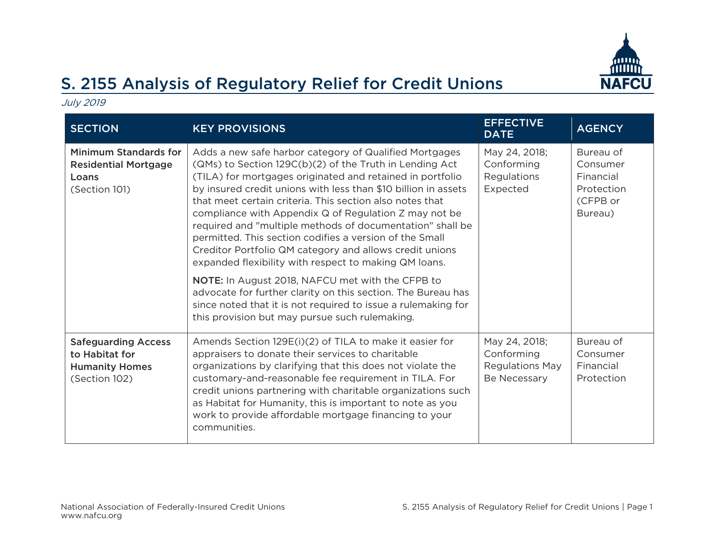

## S. 2155 Analysis of Regulatory Relief for Credit Unions

July 2019

| <b>SECTION</b>                                                                         | <b>KEY PROVISIONS</b>                                                                                                                                                                                                                                                                                                                                                                                                                                                                                                                                                                                                                                                                                                                                                                                                                                           | <b>EFFECTIVE</b><br><b>DATE</b>                                       | <b>AGENCY</b>                                                           |
|----------------------------------------------------------------------------------------|-----------------------------------------------------------------------------------------------------------------------------------------------------------------------------------------------------------------------------------------------------------------------------------------------------------------------------------------------------------------------------------------------------------------------------------------------------------------------------------------------------------------------------------------------------------------------------------------------------------------------------------------------------------------------------------------------------------------------------------------------------------------------------------------------------------------------------------------------------------------|-----------------------------------------------------------------------|-------------------------------------------------------------------------|
| <b>Minimum Standards for</b><br><b>Residential Mortgage</b><br>Loans<br>(Section 101)  | Adds a new safe harbor category of Qualified Mortgages<br>(QMs) to Section 129C(b)(2) of the Truth in Lending Act<br>(TILA) for mortgages originated and retained in portfolio<br>by insured credit unions with less than \$10 billion in assets<br>that meet certain criteria. This section also notes that<br>compliance with Appendix Q of Regulation Z may not be<br>required and "multiple methods of documentation" shall be<br>permitted. This section codifies a version of the Small<br>Creditor Portfolio QM category and allows credit unions<br>expanded flexibility with respect to making QM loans.<br><b>NOTE:</b> In August 2018, NAFCU met with the CFPB to<br>advocate for further clarity on this section. The Bureau has<br>since noted that it is not required to issue a rulemaking for<br>this provision but may pursue such rulemaking. | May 24, 2018;<br>Conforming<br>Regulations<br>Expected                | Bureau of<br>Consumer<br>Financial<br>Protection<br>(CFPB or<br>Bureau) |
| <b>Safeguarding Access</b><br>to Habitat for<br><b>Humanity Homes</b><br>(Section 102) | Amends Section 129E(i)(2) of TILA to make it easier for<br>appraisers to donate their services to charitable<br>organizations by clarifying that this does not violate the<br>customary-and-reasonable fee requirement in TILA. For<br>credit unions partnering with charitable organizations such<br>as Habitat for Humanity, this is important to note as you<br>work to provide affordable mortgage financing to your<br>communities.                                                                                                                                                                                                                                                                                                                                                                                                                        | May 24, 2018;<br>Conforming<br><b>Regulations May</b><br>Be Necessary | Bureau of<br>Consumer<br>Financial<br>Protection                        |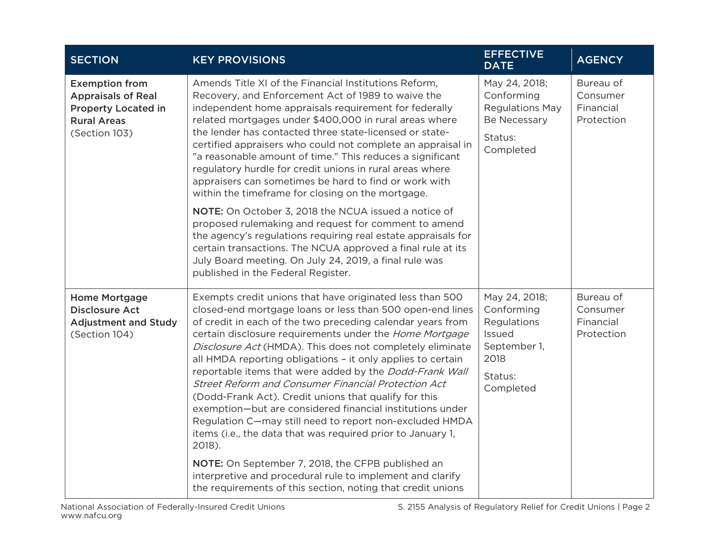| <b>SECTION</b>                                                                                                          | <b>KEY PROVISIONS</b>                                                                                                                                                                                                                                                                                                                                                                                                                                                                                                                                                                                                                                                                                                                                  | <b>EFFECTIVE</b><br><b>DATE</b>                                                                      | <b>AGENCY</b>                                    |
|-------------------------------------------------------------------------------------------------------------------------|--------------------------------------------------------------------------------------------------------------------------------------------------------------------------------------------------------------------------------------------------------------------------------------------------------------------------------------------------------------------------------------------------------------------------------------------------------------------------------------------------------------------------------------------------------------------------------------------------------------------------------------------------------------------------------------------------------------------------------------------------------|------------------------------------------------------------------------------------------------------|--------------------------------------------------|
| <b>Exemption from</b><br><b>Appraisals of Real</b><br><b>Property Located in</b><br><b>Rural Areas</b><br>(Section 103) | Amends Title XI of the Financial Institutions Reform,<br>Recovery, and Enforcement Act of 1989 to waive the<br>independent home appraisals requirement for federally<br>related mortgages under \$400,000 in rural areas where<br>the lender has contacted three state-licensed or state-<br>certified appraisers who could not complete an appraisal in<br>"a reasonable amount of time." This reduces a significant<br>regulatory hurdle for credit unions in rural areas where<br>appraisers can sometimes be hard to find or work with<br>within the timeframe for closing on the mortgage.<br>NOTE: On October 3, 2018 the NCUA issued a notice of<br>proposed rulemaking and request for comment to amend                                        | May 24, 2018;<br>Conforming<br><b>Regulations May</b><br>Be Necessary<br>Status:<br>Completed        | Bureau of<br>Consumer<br>Financial<br>Protection |
|                                                                                                                         | the agency's regulations requiring real estate appraisals for<br>certain transactions. The NCUA approved a final rule at its<br>July Board meeting. On July 24, 2019, a final rule was<br>published in the Federal Register.                                                                                                                                                                                                                                                                                                                                                                                                                                                                                                                           |                                                                                                      |                                                  |
| <b>Home Mortgage</b><br><b>Disclosure Act</b><br><b>Adjustment and Study</b><br>(Section 104)                           | Exempts credit unions that have originated less than 500<br>closed-end mortgage loans or less than 500 open-end lines<br>of credit in each of the two preceding calendar years from<br>certain disclosure requirements under the Home Mortgage<br>Disclosure Act (HMDA). This does not completely eliminate<br>all HMDA reporting obligations - it only applies to certain<br>reportable items that were added by the Dodd-Frank Wall<br>Street Reform and Consumer Financial Protection Act<br>(Dodd-Frank Act). Credit unions that qualify for this<br>exemption-but are considered financial institutions under<br>Regulation C-may still need to report non-excluded HMDA<br>items (i.e., the data that was required prior to January 1,<br>2018). | May 24, 2018;<br>Conforming<br>Regulations<br>Issued<br>September 1,<br>2018<br>Status:<br>Completed | Bureau of<br>Consumer<br>Financial<br>Protection |
|                                                                                                                         | NOTE: On September 7, 2018, the CFPB published an<br>interpretive and procedural rule to implement and clarify<br>the requirements of this section, noting that credit unions                                                                                                                                                                                                                                                                                                                                                                                                                                                                                                                                                                          |                                                                                                      |                                                  |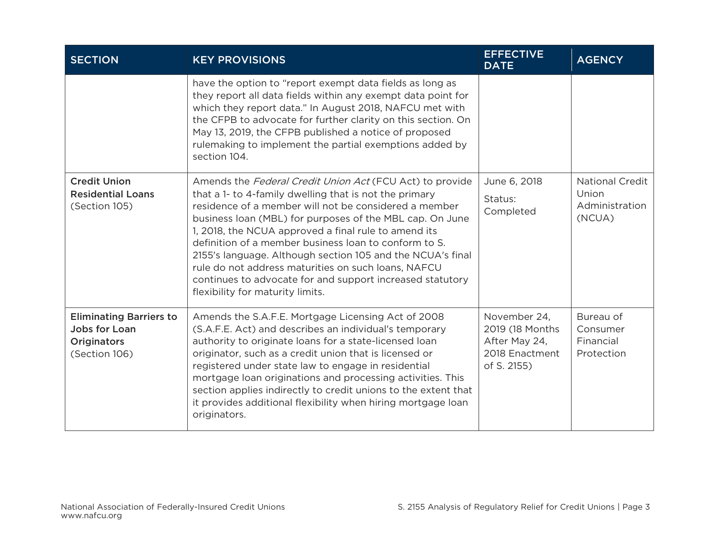| <b>SECTION</b>                                                                         | <b>KEY PROVISIONS</b>                                                                                                                                                                                                                                                                                                                                                                                                                                                                                                                                                          | <b>EFFECTIVE</b><br><b>DATE</b>                                                    | <b>AGENCY</b>                                               |
|----------------------------------------------------------------------------------------|--------------------------------------------------------------------------------------------------------------------------------------------------------------------------------------------------------------------------------------------------------------------------------------------------------------------------------------------------------------------------------------------------------------------------------------------------------------------------------------------------------------------------------------------------------------------------------|------------------------------------------------------------------------------------|-------------------------------------------------------------|
|                                                                                        | have the option to "report exempt data fields as long as<br>they report all data fields within any exempt data point for<br>which they report data." In August 2018, NAFCU met with<br>the CFPB to advocate for further clarity on this section. On<br>May 13, 2019, the CFPB published a notice of proposed<br>rulemaking to implement the partial exemptions added by<br>section 104.                                                                                                                                                                                        |                                                                                    |                                                             |
| <b>Credit Union</b><br><b>Residential Loans</b><br>(Section 105)                       | Amends the Federal Credit Union Act (FCU Act) to provide<br>that a 1- to 4-family dwelling that is not the primary<br>residence of a member will not be considered a member<br>business loan (MBL) for purposes of the MBL cap. On June<br>1, 2018, the NCUA approved a final rule to amend its<br>definition of a member business loan to conform to S.<br>2155's language. Although section 105 and the NCUA's final<br>rule do not address maturities on such loans, NAFCU<br>continues to advocate for and support increased statutory<br>flexibility for maturity limits. | June 6, 2018<br>Status:<br>Completed                                               | <b>National Credit</b><br>Union<br>Administration<br>(NCUA) |
| <b>Eliminating Barriers to</b><br>Jobs for Loan<br><b>Originators</b><br>(Section 106) | Amends the S.A.F.E. Mortgage Licensing Act of 2008<br>(S.A.F.E. Act) and describes an individual's temporary<br>authority to originate loans for a state-licensed loan<br>originator, such as a credit union that is licensed or<br>registered under state law to engage in residential<br>mortgage loan originations and processing activities. This<br>section applies indirectly to credit unions to the extent that<br>it provides additional flexibility when hiring mortgage loan<br>originators.                                                                        | November 24,<br>2019 (18 Months)<br>After May 24,<br>2018 Enactment<br>of S. 2155) | Bureau of<br>Consumer<br>Financial<br>Protection            |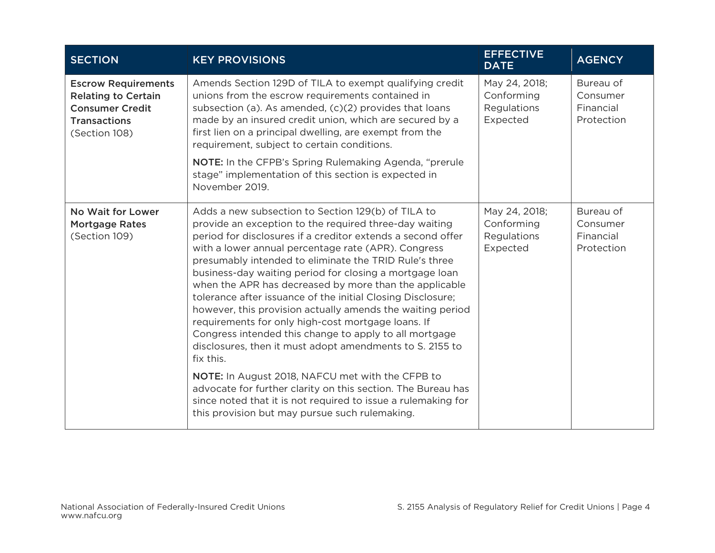| <b>SECTION</b>                                                                                                             | <b>KEY PROVISIONS</b>                                                                                                                                                                                                                                                                                                                                                                                                                                                                                                                                                                                                                                                                                                                                                                                                                                                                                                                                                          | <b>EFFECTIVE</b><br><b>DATE</b>                        | <b>AGENCY</b>                                    |
|----------------------------------------------------------------------------------------------------------------------------|--------------------------------------------------------------------------------------------------------------------------------------------------------------------------------------------------------------------------------------------------------------------------------------------------------------------------------------------------------------------------------------------------------------------------------------------------------------------------------------------------------------------------------------------------------------------------------------------------------------------------------------------------------------------------------------------------------------------------------------------------------------------------------------------------------------------------------------------------------------------------------------------------------------------------------------------------------------------------------|--------------------------------------------------------|--------------------------------------------------|
| <b>Escrow Requirements</b><br><b>Relating to Certain</b><br><b>Consumer Credit</b><br><b>Transactions</b><br>(Section 108) | Amends Section 129D of TILA to exempt qualifying credit<br>unions from the escrow requirements contained in<br>subsection (a). As amended, (c)(2) provides that loans<br>made by an insured credit union, which are secured by a<br>first lien on a principal dwelling, are exempt from the<br>requirement, subject to certain conditions.<br>NOTE: In the CFPB's Spring Rulemaking Agenda, "prerule<br>stage" implementation of this section is expected in<br>November 2019.                                                                                                                                                                                                                                                                                                                                                                                                                                                                                                 | May 24, 2018;<br>Conforming<br>Regulations<br>Expected | Bureau of<br>Consumer<br>Financial<br>Protection |
| No Wait for Lower<br><b>Mortgage Rates</b><br>(Section 109)                                                                | Adds a new subsection to Section 129(b) of TILA to<br>provide an exception to the required three-day waiting<br>period for disclosures if a creditor extends a second offer<br>with a lower annual percentage rate (APR). Congress<br>presumably intended to eliminate the TRID Rule's three<br>business-day waiting period for closing a mortgage loan<br>when the APR has decreased by more than the applicable<br>tolerance after issuance of the initial Closing Disclosure;<br>however, this provision actually amends the waiting period<br>requirements for only high-cost mortgage loans. If<br>Congress intended this change to apply to all mortgage<br>disclosures, then it must adopt amendments to S. 2155 to<br>fix this.<br>NOTE: In August 2018, NAFCU met with the CFPB to<br>advocate for further clarity on this section. The Bureau has<br>since noted that it is not required to issue a rulemaking for<br>this provision but may pursue such rulemaking. | May 24, 2018;<br>Conforming<br>Regulations<br>Expected | Bureau of<br>Consumer<br>Financial<br>Protection |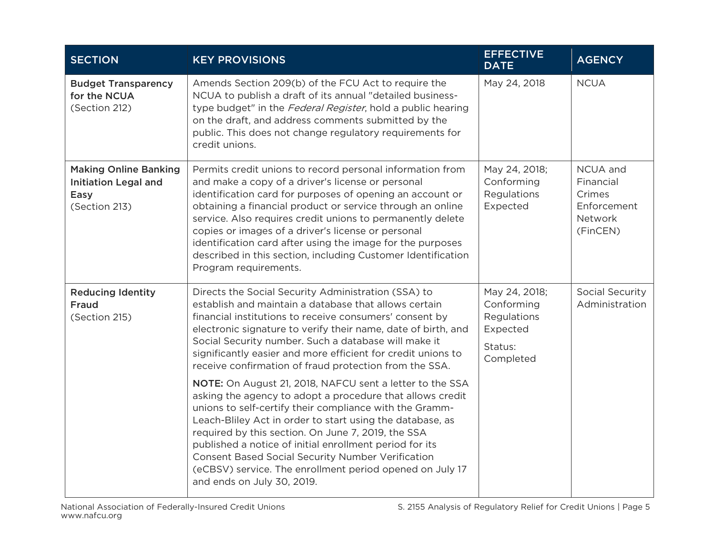| <b>SECTION</b>                                                                       | <b>KEY PROVISIONS</b>                                                                                                                                                                                                                                                                                                                                                                                                                                                                                                | <b>EFFECTIVE</b><br><b>DATE</b>                                                | <b>AGENCY</b>                                                         |
|--------------------------------------------------------------------------------------|----------------------------------------------------------------------------------------------------------------------------------------------------------------------------------------------------------------------------------------------------------------------------------------------------------------------------------------------------------------------------------------------------------------------------------------------------------------------------------------------------------------------|--------------------------------------------------------------------------------|-----------------------------------------------------------------------|
| <b>Budget Transparency</b><br>for the NCUA<br>(Section 212)                          | Amends Section 209(b) of the FCU Act to require the<br>NCUA to publish a draft of its annual "detailed business-<br>type budget" in the Federal Register, hold a public hearing<br>on the draft, and address comments submitted by the<br>public. This does not change regulatory requirements for<br>credit unions.                                                                                                                                                                                                 | May 24, 2018                                                                   | <b>NCUA</b>                                                           |
| <b>Making Online Banking</b><br><b>Initiation Legal and</b><br>Easy<br>(Section 213) | Permits credit unions to record personal information from<br>and make a copy of a driver's license or personal<br>identification card for purposes of opening an account or<br>obtaining a financial product or service through an online<br>service. Also requires credit unions to permanently delete<br>copies or images of a driver's license or personal<br>identification card after using the image for the purposes<br>described in this section, including Customer Identification<br>Program requirements. | May 24, 2018;<br>Conforming<br>Regulations<br>Expected                         | NCUA and<br>Financial<br>Crimes<br>Enforcement<br>Network<br>(FinCEN) |
| <b>Reducing Identity</b><br><b>Fraud</b><br>(Section 215)                            | Directs the Social Security Administration (SSA) to<br>establish and maintain a database that allows certain<br>financial institutions to receive consumers' consent by<br>electronic signature to verify their name, date of birth, and<br>Social Security number. Such a database will make it<br>significantly easier and more efficient for credit unions to<br>receive confirmation of fraud protection from the SSA.                                                                                           | May 24, 2018;<br>Conforming<br>Regulations<br>Expected<br>Status:<br>Completed | Social Security<br>Administration                                     |
|                                                                                      | NOTE: On August 21, 2018, NAFCU sent a letter to the SSA<br>asking the agency to adopt a procedure that allows credit<br>unions to self-certify their compliance with the Gramm-<br>Leach-Bliley Act in order to start using the database, as<br>required by this section. On June 7, 2019, the SSA<br>published a notice of initial enrollment period for its<br><b>Consent Based Social Security Number Verification</b><br>(eCBSV) service. The enrollment period opened on July 17<br>and ends on July 30, 2019. |                                                                                |                                                                       |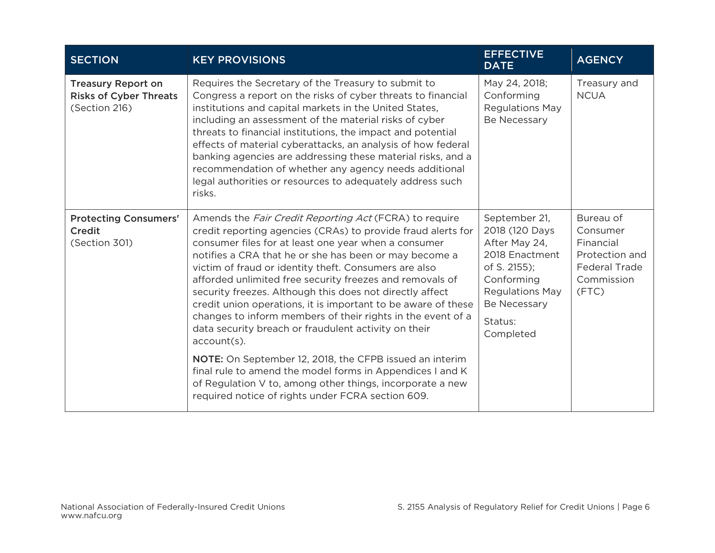| <b>SECTION</b>                                                              | <b>KEY PROVISIONS</b>                                                                                                                                                                                                                                                                                                                                                                                                                                                                                                                                                                                                                                                                                                                                                                                                                                                                | <b>EFFECTIVE</b><br><b>DATE</b>                                                                                                                                    | <b>AGENCY</b>                                                                                       |
|-----------------------------------------------------------------------------|--------------------------------------------------------------------------------------------------------------------------------------------------------------------------------------------------------------------------------------------------------------------------------------------------------------------------------------------------------------------------------------------------------------------------------------------------------------------------------------------------------------------------------------------------------------------------------------------------------------------------------------------------------------------------------------------------------------------------------------------------------------------------------------------------------------------------------------------------------------------------------------|--------------------------------------------------------------------------------------------------------------------------------------------------------------------|-----------------------------------------------------------------------------------------------------|
| <b>Treasury Report on</b><br><b>Risks of Cyber Threats</b><br>(Section 216) | Requires the Secretary of the Treasury to submit to<br>Congress a report on the risks of cyber threats to financial<br>institutions and capital markets in the United States,<br>including an assessment of the material risks of cyber<br>threats to financial institutions, the impact and potential<br>effects of material cyberattacks, an analysis of how federal<br>banking agencies are addressing these material risks, and a<br>recommendation of whether any agency needs additional<br>legal authorities or resources to adequately address such<br>risks.                                                                                                                                                                                                                                                                                                                | May 24, 2018;<br>Conforming<br><b>Regulations May</b><br>Be Necessary                                                                                              | Treasury and<br><b>NCUA</b>                                                                         |
| <b>Protecting Consumers'</b><br>Credit<br>(Section 301)                     | Amends the <i>Fair Credit Reporting Act</i> (FCRA) to require<br>credit reporting agencies (CRAs) to provide fraud alerts for<br>consumer files for at least one year when a consumer<br>notifies a CRA that he or she has been or may become a<br>victim of fraud or identity theft. Consumers are also<br>afforded unlimited free security freezes and removals of<br>security freezes. Although this does not directly affect<br>credit union operations, it is important to be aware of these<br>changes to inform members of their rights in the event of a<br>data security breach or fraudulent activity on their<br>$account(s)$ .<br>NOTE: On September 12, 2018, the CFPB issued an interim<br>final rule to amend the model forms in Appendices I and K<br>of Regulation V to, among other things, incorporate a new<br>required notice of rights under FCRA section 609. | September 21,<br>2018 (120 Days<br>After May 24,<br>2018 Enactment<br>of S. 2155);<br>Conforming<br><b>Regulations May</b><br>Be Necessary<br>Status:<br>Completed | Bureau of<br>Consumer<br>Financial<br>Protection and<br><b>Federal Trade</b><br>Commission<br>(FTC) |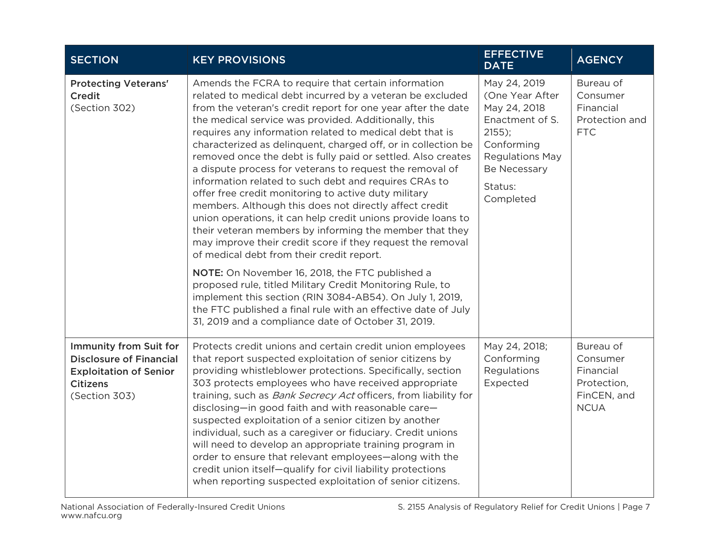| <b>SECTION</b>                                                                                                                       | <b>KEY PROVISIONS</b>                                                                                                                                                                                                                                                                                                                                                                                                                                                                                                                                                                                                                                                                                                                                                                                                                                                                                              | <b>EFFECTIVE</b><br><b>DATE</b>                                                                                                                                | <b>AGENCY</b>                                                                   |
|--------------------------------------------------------------------------------------------------------------------------------------|--------------------------------------------------------------------------------------------------------------------------------------------------------------------------------------------------------------------------------------------------------------------------------------------------------------------------------------------------------------------------------------------------------------------------------------------------------------------------------------------------------------------------------------------------------------------------------------------------------------------------------------------------------------------------------------------------------------------------------------------------------------------------------------------------------------------------------------------------------------------------------------------------------------------|----------------------------------------------------------------------------------------------------------------------------------------------------------------|---------------------------------------------------------------------------------|
| <b>Protecting Veterans'</b><br><b>Credit</b><br>(Section 302)                                                                        | Amends the FCRA to require that certain information<br>related to medical debt incurred by a veteran be excluded<br>from the veteran's credit report for one year after the date<br>the medical service was provided. Additionally, this<br>requires any information related to medical debt that is<br>characterized as delinquent, charged off, or in collection be<br>removed once the debt is fully paid or settled. Also creates<br>a dispute process for veterans to request the removal of<br>information related to such debt and requires CRAs to<br>offer free credit monitoring to active duty military<br>members. Although this does not directly affect credit<br>union operations, it can help credit unions provide loans to<br>their veteran members by informing the member that they<br>may improve their credit score if they request the removal<br>of medical debt from their credit report. | May 24, 2019<br>(One Year After<br>May 24, 2018<br>Enactment of S.<br>$2155$ ;<br>Conforming<br><b>Regulations May</b><br>Be Necessary<br>Status:<br>Completed | Bureau of<br>Consumer<br>Financial<br>Protection and<br><b>FTC</b>              |
|                                                                                                                                      | NOTE: On November 16, 2018, the FTC published a<br>proposed rule, titled Military Credit Monitoring Rule, to<br>implement this section (RIN 3084-AB54). On July 1, 2019,<br>the FTC published a final rule with an effective date of July<br>31, 2019 and a compliance date of October 31, 2019.                                                                                                                                                                                                                                                                                                                                                                                                                                                                                                                                                                                                                   |                                                                                                                                                                |                                                                                 |
| <b>Immunity from Suit for</b><br><b>Disclosure of Financial</b><br><b>Exploitation of Senior</b><br><b>Citizens</b><br>(Section 303) | Protects credit unions and certain credit union employees<br>that report suspected exploitation of senior citizens by<br>providing whistleblower protections. Specifically, section<br>303 protects employees who have received appropriate<br>training, such as <i>Bank Secrecy Act</i> officers, from liability for<br>disclosing-in good faith and with reasonable care-<br>suspected exploitation of a senior citizen by another<br>individual, such as a caregiver or fiduciary. Credit unions<br>will need to develop an appropriate training program in<br>order to ensure that relevant employees-along with the<br>credit union itself-qualify for civil liability protections<br>when reporting suspected exploitation of senior citizens.                                                                                                                                                               | May 24, 2018;<br>Conforming<br>Regulations<br>Expected                                                                                                         | Bureau of<br>Consumer<br>Financial<br>Protection,<br>FinCEN, and<br><b>NCUA</b> |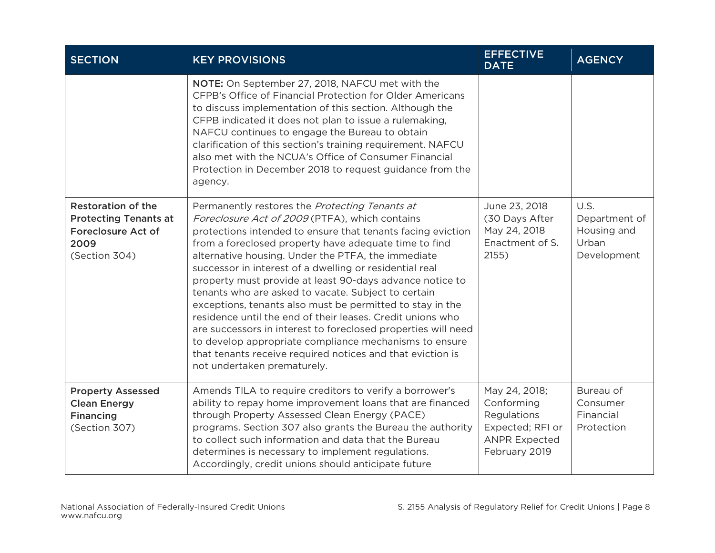| <b>SECTION</b>                                                                                                  | <b>KEY PROVISIONS</b>                                                                                                                                                                                                                                                                                                                                                                                                                                                                                                                                                                                                                                                                                                                                                                                           | <b>EFFECTIVE</b><br><b>DATE</b>                                                                         | <b>AGENCY</b>                                                |
|-----------------------------------------------------------------------------------------------------------------|-----------------------------------------------------------------------------------------------------------------------------------------------------------------------------------------------------------------------------------------------------------------------------------------------------------------------------------------------------------------------------------------------------------------------------------------------------------------------------------------------------------------------------------------------------------------------------------------------------------------------------------------------------------------------------------------------------------------------------------------------------------------------------------------------------------------|---------------------------------------------------------------------------------------------------------|--------------------------------------------------------------|
|                                                                                                                 | NOTE: On September 27, 2018, NAFCU met with the<br>CFPB's Office of Financial Protection for Older Americans<br>to discuss implementation of this section. Although the<br>CFPB indicated it does not plan to issue a rulemaking,<br>NAFCU continues to engage the Bureau to obtain<br>clarification of this section's training requirement. NAFCU<br>also met with the NCUA's Office of Consumer Financial<br>Protection in December 2018 to request guidance from the<br>agency.                                                                                                                                                                                                                                                                                                                              |                                                                                                         |                                                              |
| <b>Restoration of the</b><br><b>Protecting Tenants at</b><br><b>Foreclosure Act of</b><br>2009<br>(Section 304) | Permanently restores the Protecting Tenants at<br>Foreclosure Act of 2009 (PTFA), which contains<br>protections intended to ensure that tenants facing eviction<br>from a foreclosed property have adequate time to find<br>alternative housing. Under the PTFA, the immediate<br>successor in interest of a dwelling or residential real<br>property must provide at least 90-days advance notice to<br>tenants who are asked to vacate. Subject to certain<br>exceptions, tenants also must be permitted to stay in the<br>residence until the end of their leases. Credit unions who<br>are successors in interest to foreclosed properties will need<br>to develop appropriate compliance mechanisms to ensure<br>that tenants receive required notices and that eviction is<br>not undertaken prematurely. | June 23, 2018<br>(30 Days After<br>May 24, 2018<br>Enactment of S.<br>2155)                             | U.S.<br>Department of<br>Housing and<br>Urban<br>Development |
| <b>Property Assessed</b><br><b>Clean Energy</b><br><b>Financing</b><br>(Section 307)                            | Amends TILA to require creditors to verify a borrower's<br>ability to repay home improvement loans that are financed<br>through Property Assessed Clean Energy (PACE)<br>programs. Section 307 also grants the Bureau the authority<br>to collect such information and data that the Bureau<br>determines is necessary to implement regulations.<br>Accordingly, credit unions should anticipate future                                                                                                                                                                                                                                                                                                                                                                                                         | May 24, 2018;<br>Conforming<br>Regulations<br>Expected; RFI or<br><b>ANPR Expected</b><br>February 2019 | Bureau of<br>Consumer<br>Financial<br>Protection             |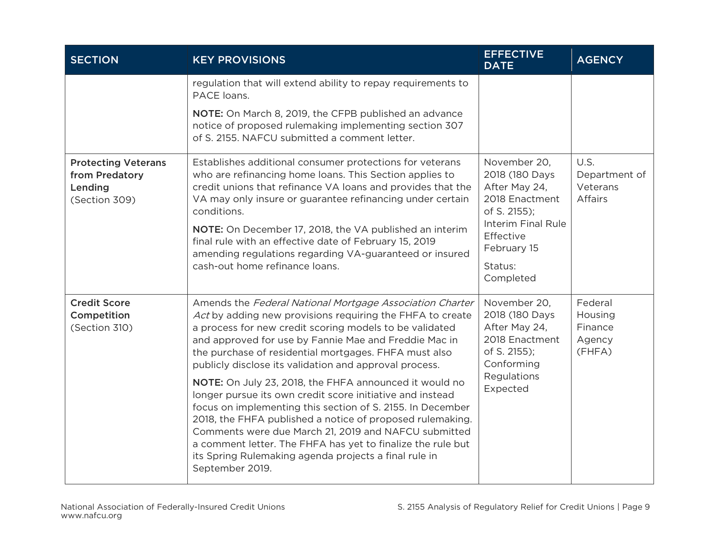| <b>SECTION</b>                                                           | <b>KEY PROVISIONS</b>                                                                                                                                                                                                                                                                                                                                                                                                                                                                                                                                                                                                                                                                                                                                                                                             | <b>EFFECTIVE</b><br><b>DATE</b>                                                                                                                             | <b>AGENCY</b>                                       |
|--------------------------------------------------------------------------|-------------------------------------------------------------------------------------------------------------------------------------------------------------------------------------------------------------------------------------------------------------------------------------------------------------------------------------------------------------------------------------------------------------------------------------------------------------------------------------------------------------------------------------------------------------------------------------------------------------------------------------------------------------------------------------------------------------------------------------------------------------------------------------------------------------------|-------------------------------------------------------------------------------------------------------------------------------------------------------------|-----------------------------------------------------|
|                                                                          | regulation that will extend ability to repay requirements to<br>PACE loans.                                                                                                                                                                                                                                                                                                                                                                                                                                                                                                                                                                                                                                                                                                                                       |                                                                                                                                                             |                                                     |
|                                                                          | NOTE: On March 8, 2019, the CFPB published an advance<br>notice of proposed rulemaking implementing section 307<br>of S. 2155. NAFCU submitted a comment letter.                                                                                                                                                                                                                                                                                                                                                                                                                                                                                                                                                                                                                                                  |                                                                                                                                                             |                                                     |
| <b>Protecting Veterans</b><br>from Predatory<br>Lending<br>(Section 309) | Establishes additional consumer protections for veterans<br>who are refinancing home loans. This Section applies to<br>credit unions that refinance VA loans and provides that the<br>VA may only insure or guarantee refinancing under certain<br>conditions.<br>NOTE: On December 17, 2018, the VA published an interim<br>final rule with an effective date of February 15, 2019<br>amending regulations regarding VA-guaranteed or insured<br>cash-out home refinance loans.                                                                                                                                                                                                                                                                                                                                  | November 20,<br>2018 (180 Days<br>After May 24,<br>2018 Enactment<br>of S. 2155);<br>Interim Final Rule<br>Effective<br>February 15<br>Status:<br>Completed | U.S.<br>Department of<br>Veterans<br><b>Affairs</b> |
| <b>Credit Score</b><br>Competition<br>(Section 310)                      | Amends the Federal National Mortgage Association Charter<br>Act by adding new provisions requiring the FHFA to create<br>a process for new credit scoring models to be validated<br>and approved for use by Fannie Mae and Freddie Mac in<br>the purchase of residential mortgages. FHFA must also<br>publicly disclose its validation and approval process.<br>NOTE: On July 23, 2018, the FHFA announced it would no<br>longer pursue its own credit score initiative and instead<br>focus on implementing this section of S. 2155. In December<br>2018, the FHFA published a notice of proposed rulemaking.<br>Comments were due March 21, 2019 and NAFCU submitted<br>a comment letter. The FHFA has yet to finalize the rule but<br>its Spring Rulemaking agenda projects a final rule in<br>September 2019. | November 20,<br>2018 (180 Days<br>After May 24,<br>2018 Enactment<br>of S. 2155);<br>Conforming<br>Regulations<br>Expected                                  | Federal<br>Housing<br>Finance<br>Agency<br>(FHFA)   |